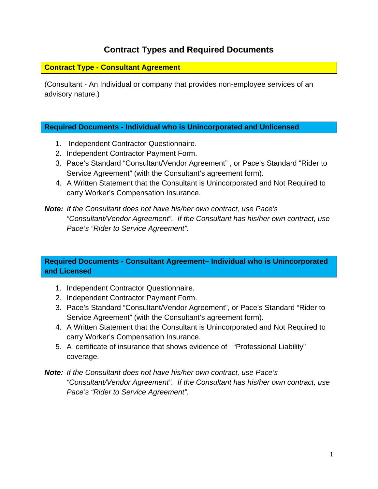## **Contract Types and Required Documents**

### **Contract Type - Consultant Agreement**

(Consultant - An Individual or company that provides non-employee services of an advisory nature.)

#### **Required Documents - Individual who is Unincorporated and Unlicensed**

- 1. Independent Contractor Questionnaire.
- 2. Independent Contractor Payment Form.
- 3. Pace's Standard "Consultant/Vendor Agreement" , or Pace's Standard "Rider to Service Agreement" (with the Consultant's agreement form).
- 4. A Written Statement that the Consultant is Unincorporated and Not Required to carry Worker's Compensation Insurance.

### *Note: If the Consultant does not have his/her own contract, use Pace's "Consultant/Vendor Agreement". If the Consultant has his/her own contract, use Pace's "Rider to Service Agreement".*

### **Required Documents - Consultant Agreement– Individual who is Unincorporated and Licensed**

- 1. Independent Contractor Questionnaire.
- 2. Independent Contractor Payment Form.
- 3. Pace's Standard "Consultant/Vendor Agreement", or Pace's Standard "Rider to Service Agreement" (with the Consultant's agreement form).
- 4. A Written Statement that the Consultant is Unincorporated and Not Required to carry Worker's Compensation Insurance.
- 5. A certificate of insurance that shows evidence of "Professional Liability" coverage.

### *Note: If the Consultant does not have his/her own contract, use Pace's "Consultant/Vendor Agreement". If the Consultant has his/her own contract, use Pace's "Rider to Service Agreement".*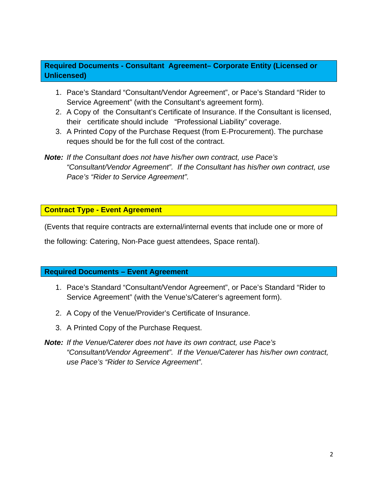### **Required Documents - Consultant Agreement– Corporate Entity (Licensed or Unlicensed)**

- 1. Pace's Standard "Consultant/Vendor Agreement", or Pace's Standard "Rider to Service Agreement" (with the Consultant's agreement form).
- 2. A Copy of the Consultant's Certificate of Insurance. If the Consultant is licensed, their certificate should include "Professional Liability" coverage.
- 3. A Printed Copy of the Purchase Request (from E-Procurement). The purchase reques should be for the full cost of the contract.
- *Note: If the Consultant does not have his/her own contract, use Pace's "Consultant/Vendor Agreement". If the Consultant has his/her own contract, use Pace's "Rider to Service Agreement".*

**Contract Type - Event Agreement** 

(Events that require contracts are external/internal events that include one or more of

the following: Catering, Non-Pace guest attendees, Space rental).

### **Required Documents – Event Agreement**

- 1. Pace's Standard "Consultant/Vendor Agreement", or Pace's Standard "Rider to Service Agreement" (with the Venue's/Caterer's agreement form).
- 2. A Copy of the Venue/Provider's Certificate of Insurance.
- 3. A Printed Copy of the Purchase Request.
- *Note: If the Venue/Caterer does not have its own contract, use Pace's "Consultant/Vendor Agreement". If the Venue/Caterer has his/her own contract, use Pace's "Rider to Service Agreement".*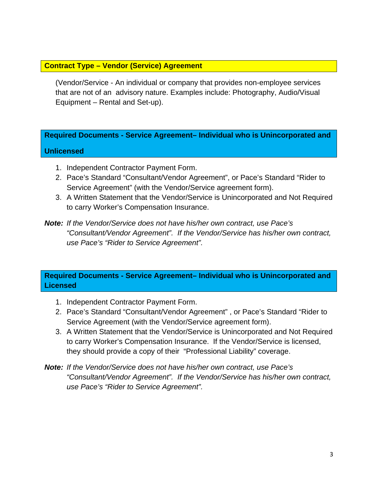### **Contract Type – Vendor (Service) Agreement**

(Vendor/Service - An individual or company that provides non-employee services that are not of an advisory nature. Examples include: Photography, Audio/Visual Equipment – Rental and Set-up).

# **Required Documents - Service Agreement– Individual who is Unincorporated and Unlicensed**

- 1. Independent Contractor Payment Form.
- 2. Pace's Standard "Consultant/Vendor Agreement", or Pace's Standard "Rider to Service Agreement" (with the Vendor/Service agreement form).
- 3. A Written Statement that the Vendor/Service is Unincorporated and Not Required to carry Worker's Compensation Insurance.
- *Note: If the Vendor/Service does not have his/her own contract, use Pace's "Consultant/Vendor Agreement". If the Vendor/Service has his/her own contract, use Pace's "Rider to Service Agreement".*

**Required Documents - Service Agreement– Individual who is Unincorporated and Licensed** 

- 1. Independent Contractor Payment Form.
- 2. Pace's Standard "Consultant/Vendor Agreement" , or Pace's Standard "Rider to Service Agreement (with the Vendor/Service agreement form).
- 3. A Written Statement that the Vendor/Service is Unincorporated and Not Required to carry Worker's Compensation Insurance. If the Vendor/Service is licensed, they should provide a copy of their "Professional Liability" coverage.
- *Note: If the Vendor/Service does not have his/her own contract, use Pace's "Consultant/Vendor Agreement". If the Vendor/Service has his/her own contract, use Pace's "Rider to Service Agreement".*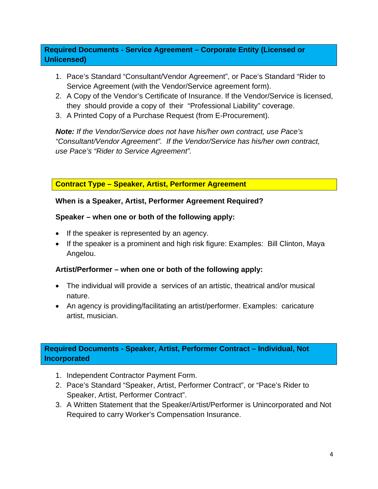## **Required Documents - Service Agreement – Corporate Entity (Licensed or Unlicensed)**

- 1. Pace's Standard "Consultant/Vendor Agreement", or Pace's Standard "Rider to Service Agreement (with the Vendor/Service agreement form).
- 2. A Copy of the Vendor's Certificate of Insurance. If the Vendor/Service is licensed, they should provide a copy of their "Professional Liability" coverage.
- 3. A Printed Copy of a Purchase Request (from E-Procurement).

*Note: If the Vendor/Service does not have his/her own contract, use Pace's "Consultant/Vendor Agreement". If the Vendor/Service has his/her own contract, use Pace's "Rider to Service Agreement".* 

**Contract Type – Speaker, Artist, Performer Agreement** 

### **When is a Speaker, Artist, Performer Agreement Required?**

### **Speaker – when one or both of the following apply:**

- If the speaker is represented by an agency.
- If the speaker is a prominent and high risk figure: Examples: Bill Clinton, Maya Angelou.

## **Artist/Performer – when one or both of the following apply:**

- The individual will provide a services of an artistic, theatrical and/or musical nature.
- An agency is providing/facilitating an artist/performer. Examples: caricature artist, musician.

## **Required Documents - Speaker, Artist, Performer Contract – Individual, Not Incorporated**

- 1. Independent Contractor Payment Form.
- 2. Pace's Standard "Speaker, Artist, Performer Contract", or "Pace's Rider to Speaker, Artist, Performer Contract".
- 3. A Written Statement that the Speaker/Artist/Performer is Unincorporated and Not Required to carry Worker's Compensation Insurance.